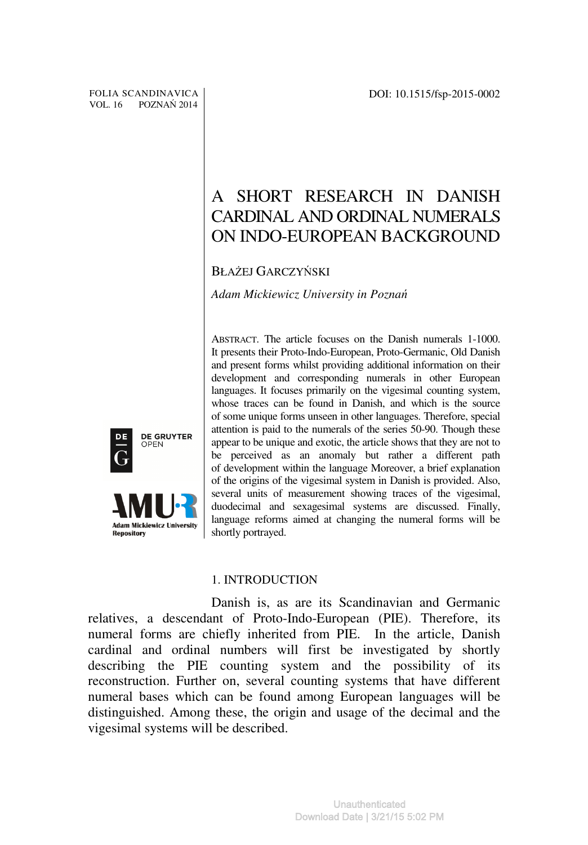# A SHORT RESEARCH IN DANISH CARDINAL AND ORDINAL NUMERALS ON INDO-EUROPEAN BACKGROUND

# BŁAŻEJ GARCZYŃSKI

*Adam Mickiewicz University in Pozna*ń

ABSTRACT. The article focuses on the Danish numerals 1-1000. It presents their Proto-Indo-European, Proto-Germanic, Old Danish and present forms whilst providing additional information on their development and corresponding numerals in other European languages. It focuses primarily on the vigesimal counting system, whose traces can be found in Danish, and which is the source of some unique forms unseen in other languages. Therefore, special attention is paid to the numerals of the series 50-90. Though these appear to be unique and exotic, the article shows that they are not to be perceived as an anomaly but rather a different path of development within the language Moreover, a brief explanation of the origins of the vigesimal system in Danish is provided. Also, several units of measurement showing traces of the vigesimal, duodecimal and sexagesimal systems are discussed. Finally, language reforms aimed at changing the numeral forms will be shortly portrayed.

### 1. INTRODUCTION

Danish is, as are its Scandinavian and Germanic relatives, a descendant of Proto-Indo-European (PIE). Therefore, its numeral forms are chiefly inherited from PIE. In the article, Danish cardinal and ordinal numbers will first be investigated by shortly describing the PIE counting system and the possibility of its reconstruction. Further on, several counting systems that have different numeral bases which can be found among European languages will be distinguished. Among these, the origin and usage of the decimal and the vigesimal systems will be described.



**Adam Mickiewicz University** 

**Repository**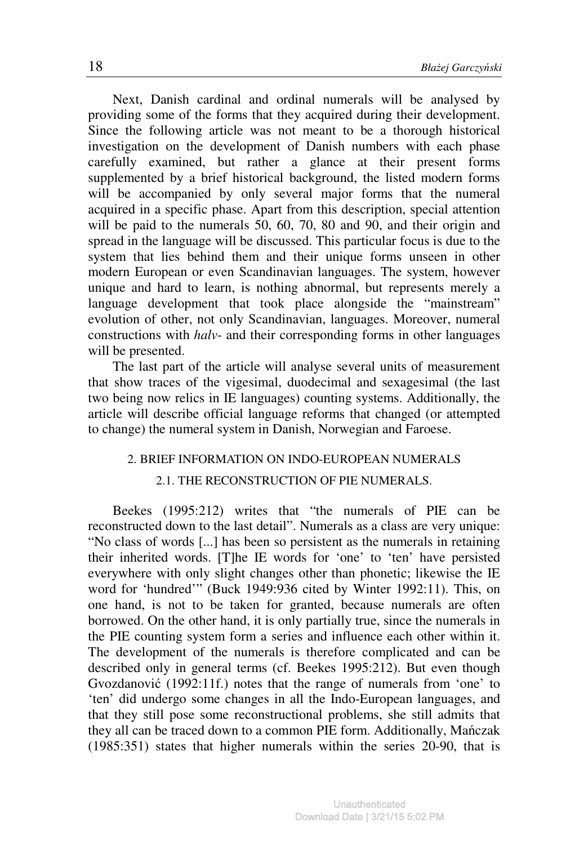Next, Danish cardinal and ordinal numerals will be analysed by providing some of the forms that they acquired during their development. Since the following article was not meant to be a thorough historical investigation on the development of Danish numbers with each phase carefully examined, but rather a glance at their present forms supplemented by a brief historical background, the listed modern forms will be accompanied by only several major forms that the numeral acquired in a specific phase. Apart from this description, special attention will be paid to the numerals 50, 60, 70, 80 and 90, and their origin and spread in the language will be discussed. This particular focus is due to the system that lies behind them and their unique forms unseen in other modern European or even Scandinavian languages. The system, however unique and hard to learn, is nothing abnormal, but represents merely a language development that took place alongside the "mainstream" evolution of other, not only Scandinavian, languages. Moreover, numeral constructions with *halv*- and their corresponding forms in other languages will be presented.

The last part of the article will analyse several units of measurement that show traces of the vigesimal, duodecimal and sexagesimal (the last two being now relics in IE languages) counting systems. Additionally, the article will describe official language reforms that changed (or attempted to change) the numeral system in Danish, Norwegian and Faroese.

### 2. BRIEF INFORMATION ON INDO-EUROPEAN NUMERALS

### 2.1. THE RECONSTRUCTION OF PIE NUMERALS.

Beekes (1995:212) writes that "the numerals of PIE can be reconstructed down to the last detail". Numerals as a class are very unique: "No class of words [...] has been so persistent as the numerals in retaining their inherited words. [T]he IE words for 'one' to 'ten' have persisted everywhere with only slight changes other than phonetic; likewise the IE word for 'hundred'" (Buck 1949:936 cited by Winter 1992:11). This, on one hand, is not to be taken for granted, because numerals are often borrowed. On the other hand, it is only partially true, since the numerals in the PIE counting system form a series and influence each other within it. The development of the numerals is therefore complicated and can be described only in general terms (cf. Beekes 1995:212). But even though Gvozdanović (1992:11f.) notes that the range of numerals from 'one' to 'ten' did undergo some changes in all the Indo-European languages, and that they still pose some reconstructional problems, she still admits that they all can be traced down to a common PIE form. Additionally, Mańczak (1985:351) states that higher numerals within the series 20-90, that is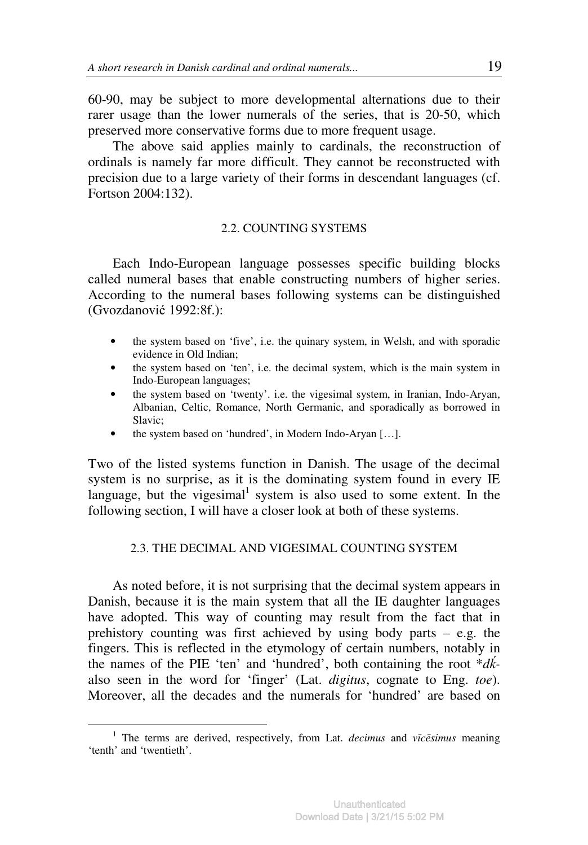60-90, may be subject to more developmental alternations due to their rarer usage than the lower numerals of the series, that is 20-50, which preserved more conservative forms due to more frequent usage.

The above said applies mainly to cardinals, the reconstruction of ordinals is namely far more difficult. They cannot be reconstructed with precision due to a large variety of their forms in descendant languages (cf. Fortson 2004:132).

### 2.2. COUNTING SYSTEMS

Each Indo-European language possesses specific building blocks called numeral bases that enable constructing numbers of higher series. According to the numeral bases following systems can be distinguished (Gvozdanović 1992:8f.):

- the system based on 'five', i.e. the quinary system, in Welsh, and with sporadic evidence in Old Indian;
- the system based on 'ten', i.e. the decimal system, which is the main system in Indo-European languages;
- the system based on 'twenty'. i.e. the vigesimal system, in Iranian, Indo-Aryan, Albanian, Celtic, Romance, North Germanic, and sporadically as borrowed in Slavic;
- the system based on 'hundred', in Modern Indo-Aryan [...].

Two of the listed systems function in Danish. The usage of the decimal system is no surprise, as it is the dominating system found in every IE language, but the vigesimal<sup>1</sup> system is also used to some extent. In the following section, I will have a closer look at both of these systems.

### 2.3. THE DECIMAL AND VIGESIMAL COUNTING SYSTEM

As noted before, it is not surprising that the decimal system appears in Danish, because it is the main system that all the IE daughter languages have adopted. This way of counting may result from the fact that in prehistory counting was first achieved by using body parts  $-$  e.g. the fingers. This is reflected in the etymology of certain numbers, notably in the names of the PIE 'ten' and 'hundred', both containing the root \**d*ḱalso seen in the word for 'finger' (Lat. *digitus*, cognate to Eng. *toe*). Moreover, all the decades and the numerals for 'hundred' are based on

<sup>1</sup> The terms are derived, respectively, from Lat. *decimus* and *v*ī*c*ē*simus* meaning 'tenth' and 'twentieth'.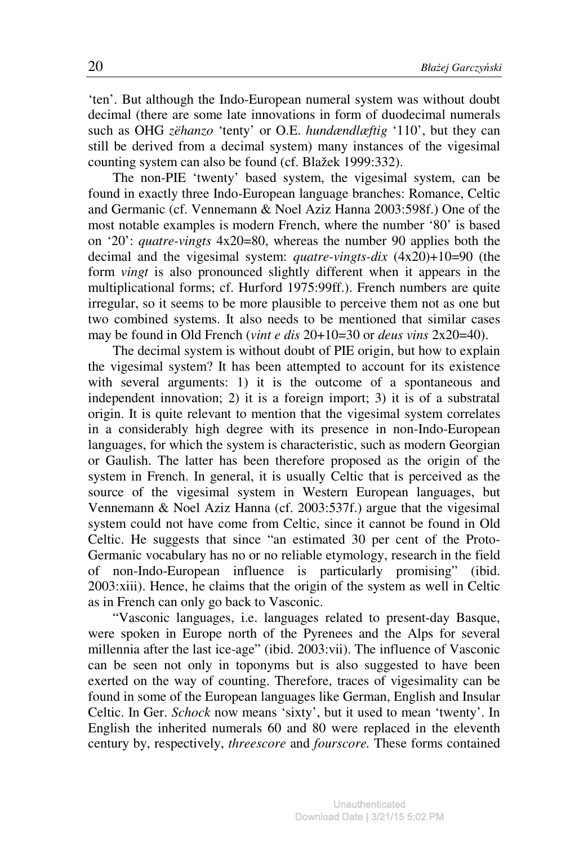'ten'. But although the Indo-European numeral system was without doubt decimal (there are some late innovations in form of duodecimal numerals such as OHG *zëhanzo* 'tenty' or O.E. *hundændlæftig* '110', but they can still be derived from a decimal system) many instances of the vigesimal counting system can also be found (cf. Blažek 1999:332).

The non-PIE 'twenty' based system, the vigesimal system, can be found in exactly three Indo-European language branches: Romance, Celtic and Germanic (cf. Vennemann & Noel Aziz Hanna 2003:598f.) One of the most notable examples is modern French, where the number '80' is based on '20': *quatre-vingts* 4x20=80, whereas the number 90 applies both the decimal and the vigesimal system: *quatre-vingts-dix* (4x20)+10=90 (the form *vingt* is also pronounced slightly different when it appears in the multiplicational forms; cf. Hurford 1975:99ff.). French numbers are quite irregular, so it seems to be more plausible to perceive them not as one but two combined systems. It also needs to be mentioned that similar cases may be found in Old French (*vint e dis* 20+10=30 or *deus vins* 2x20=40).

The decimal system is without doubt of PIE origin, but how to explain the vigesimal system? It has been attempted to account for its existence with several arguments: 1) it is the outcome of a spontaneous and independent innovation; 2) it is a foreign import; 3) it is of a substratal origin. It is quite relevant to mention that the vigesimal system correlates in a considerably high degree with its presence in non-Indo-European languages, for which the system is characteristic, such as modern Georgian or Gaulish. The latter has been therefore proposed as the origin of the system in French. In general, it is usually Celtic that is perceived as the source of the vigesimal system in Western European languages, but Vennemann & Noel Aziz Hanna (cf. 2003:537f.) argue that the vigesimal system could not have come from Celtic, since it cannot be found in Old Celtic. He suggests that since "an estimated 30 per cent of the Proto-Germanic vocabulary has no or no reliable etymology, research in the field of non-Indo-European influence is particularly promising" (ibid. 2003:xiii). Hence, he claims that the origin of the system as well in Celtic as in French can only go back to Vasconic.

"Vasconic languages, i.e. languages related to present-day Basque, were spoken in Europe north of the Pyrenees and the Alps for several millennia after the last ice-age" (ibid. 2003:vii). The influence of Vasconic can be seen not only in toponyms but is also suggested to have been exerted on the way of counting. Therefore, traces of vigesimality can be found in some of the European languages like German, English and Insular Celtic. In Ger. *Schock* now means 'sixty', but it used to mean 'twenty'. In English the inherited numerals 60 and 80 were replaced in the eleventh century by, respectively, *threescore* and *fourscore.* These forms contained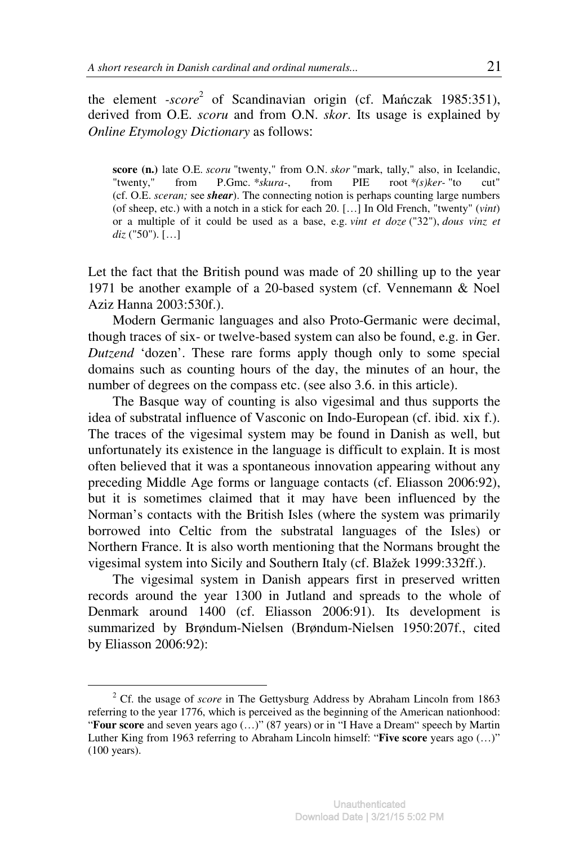the element *-score* 2 of Scandinavian origin (cf. Mańczak 1985:351), derived from O.E. *scoru* and from O.N. *skor*. Its usage is explained by *Online Etymology Dictionary* as follows:

**score (n.)** late O.E. *scoru* "twenty," from O.N. *skor* "mark, tally," also, in Icelandic, "twenty," from P.Gmc. *\*skura-*, from PIE root *\*(s)ker-* "to cut" (cf. O.E. *sceran;* see *shear*). The connecting notion is perhaps counting large numbers (of sheep, etc.) with a notch in a stick for each 20. […] In Old French, "twenty" (*vint*) or a multiple of it could be used as a base, e.g. *vint et doze* ("32"), *dous vinz et diz* ("50"). […]

Let the fact that the British pound was made of 20 shilling up to the year 1971 be another example of a 20-based system (cf. Vennemann & Noel Aziz Hanna 2003:530f.).

Modern Germanic languages and also Proto-Germanic were decimal, though traces of six- or twelve-based system can also be found, e.g. in Ger. *Dutzend* 'dozen'. These rare forms apply though only to some special domains such as counting hours of the day, the minutes of an hour, the number of degrees on the compass etc. (see also 3.6, in this article).

The Basque way of counting is also vigesimal and thus supports the idea of substratal influence of Vasconic on Indo-European (cf. ibid. xix f.). The traces of the vigesimal system may be found in Danish as well, but unfortunately its existence in the language is difficult to explain. It is most often believed that it was a spontaneous innovation appearing without any preceding Middle Age forms or language contacts (cf. Eliasson 2006:92), but it is sometimes claimed that it may have been influenced by the Norman's contacts with the British Isles (where the system was primarily borrowed into Celtic from the substratal languages of the Isles) or Northern France. It is also worth mentioning that the Normans brought the vigesimal system into Sicily and Southern Italy (cf. Blažek 1999:332ff.).

The vigesimal system in Danish appears first in preserved written records around the year 1300 in Jutland and spreads to the whole of Denmark around 1400 (cf. Eliasson 2006:91). Its development is summarized by Brøndum-Nielsen (Brøndum-Nielsen 1950:207f., cited by Eliasson 2006:92):

<sup>&</sup>lt;sup>2</sup> Cf. the usage of *score* in The Gettysburg Address by Abraham Lincoln from 1863 referring to the year 1776, which is perceived as the beginning of the American nationhood: "Four score and seven years ago (...)" (87 years) or in "I Have a Dream" speech by Martin Luther King from 1963 referring to Abraham Lincoln himself: "**Five score** years ago (…)" (100 years).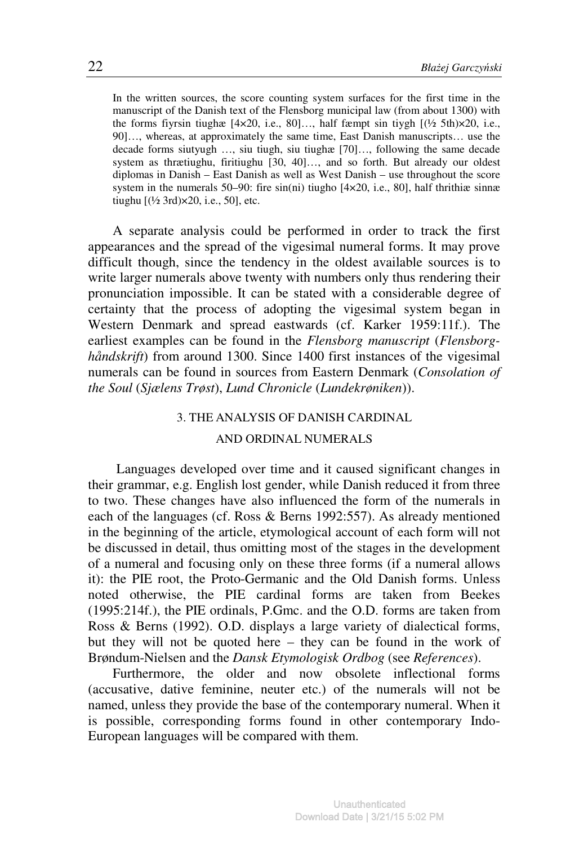In the written sources, the score counting system surfaces for the first time in the manuscript of the Danish text of the Flensborg municipal law (from about 1300) with the forms fiyrsin tiughæ  $[4 \times 20, i.e., 80]...$ , half fæmpt sin tiygh  $[(\frac{1}{2} \t5th) \times 20, i.e.,$ 90]…, whereas, at approximately the same time, East Danish manuscripts… use the decade forms siutyugh …, siu tiugh, siu tiughæ [70]…, following the same decade system as thrætiughu, firitiughu [30, 40]..., and so forth. But already our oldest diplomas in Danish – East Danish as well as West Danish – use throughout the score system in the numerals 50–90: fire  $sin(ni)$  tiugho [4 $\times$ 20, i.e., 80], half thrithiæ sinnæ tiughu  $[(\frac{1}{2} 3rd) \times 20, i.e., 50]$ , etc.

A separate analysis could be performed in order to track the first appearances and the spread of the vigesimal numeral forms. It may prove difficult though, since the tendency in the oldest available sources is to write larger numerals above twenty with numbers only thus rendering their pronunciation impossible. It can be stated with a considerable degree of certainty that the process of adopting the vigesimal system began in Western Denmark and spread eastwards (cf. Karker 1959:11f.). The earliest examples can be found in the *Flensborg manuscript* (*Flensborghåndskrift*) from around 1300. Since 1400 first instances of the vigesimal numerals can be found in sources from Eastern Denmark (*Consolation of the Soul* (*Sjælens Trøst*), *Lund Chronicle* (*Lundekrøniken*)).

## 3. THE ANALYSIS OF DANISH CARDINAL

### AND ORDINAL NUMERALS

Languages developed over time and it caused significant changes in their grammar, e.g. English lost gender, while Danish reduced it from three to two. These changes have also influenced the form of the numerals in each of the languages (cf. Ross & Berns 1992:557). As already mentioned in the beginning of the article, etymological account of each form will not be discussed in detail, thus omitting most of the stages in the development of a numeral and focusing only on these three forms (if a numeral allows it): the PIE root, the Proto-Germanic and the Old Danish forms. Unless noted otherwise, the PIE cardinal forms are taken from Beekes (1995:214f.), the PIE ordinals, P.Gmc. and the O.D. forms are taken from Ross & Berns (1992). O.D. displays a large variety of dialectical forms, but they will not be quoted here – they can be found in the work of Brøndum-Nielsen and the *Dansk Etymologisk Ordbog* (see *References*).

Furthermore, the older and now obsolete inflectional forms (accusative, dative feminine, neuter etc.) of the numerals will not be named, unless they provide the base of the contemporary numeral. When it is possible, corresponding forms found in other contemporary Indo-European languages will be compared with them.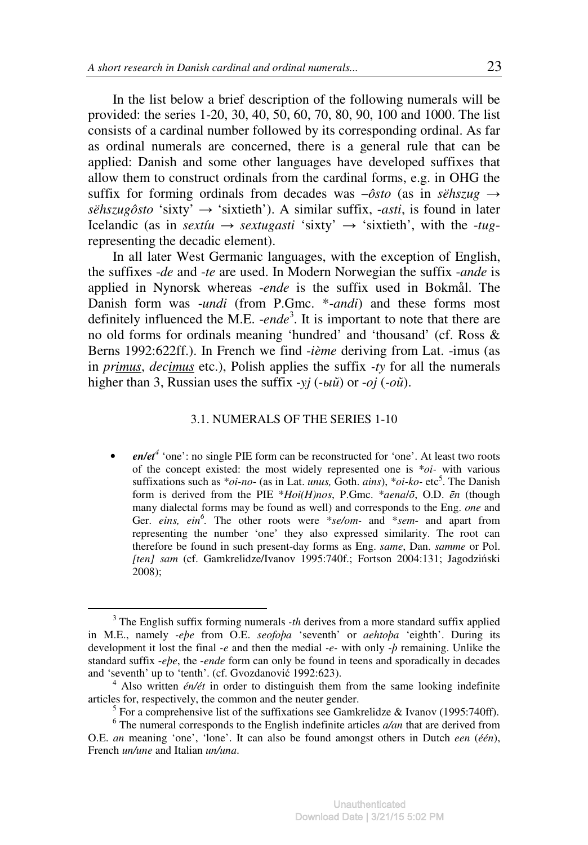In the list below a brief description of the following numerals will be provided: the series 1-20, 30, 40, 50, 60, 70, 80, 90, 100 and 1000. The list consists of a cardinal number followed by its corresponding ordinal. As far as ordinal numerals are concerned, there is a general rule that can be applied: Danish and some other languages have developed suffixes that allow them to construct ordinals from the cardinal forms, e.g. in OHG the suffix for forming ordinals from decades was  $-\delta$ *sto* (as in *sëhszug*  $\rightarrow$  $s\ddot{e}$ *hszugôsto* 'sixty'  $\rightarrow$  'sixtieth'). A similar suffix, *-asti*, is found in later Icelandic (as in *sextiu*  $\rightarrow$  *sextugasti* 'sixty'  $\rightarrow$  'sixtieth', with the *-tug*representing the decadic element).

In all later West Germanic languages, with the exception of English, the suffixes -*de* and -*te* are used. In Modern Norwegian the suffix -*ande* is applied in Nynorsk whereas -*ende* is the suffix used in Bokmål. The Danish form was -*undi* (from P.Gmc. \*-*andi*) and these forms most definitely influenced the M.E. -*ende*<sup>3</sup> . It is important to note that there are no old forms for ordinals meaning 'hundred' and 'thousand' (cf. Ross & Berns 1992:622ff.). In French we find -*ième* deriving from Lat. -imus (as in *primus*, *decimus* etc.), Polish applies the suffix *-ty* for all the numerals higher than 3, Russian uses the suffix -*yj* (*-*ый) or -*oj* (*-*ой).

### 3.1. NUMERALS OF THE SERIES 1-10

• *en/et<sup>4</sup>* 'one': no single PIE form can be reconstructed for 'one'. At least two roots of the concept existed: the most widely represented one is \**oi-* with various suffixations such as  $*oi-no$ - (as in Lat. *unus*, Goth. *ains*),  $*oi-ko$ - etc<sup>5</sup>. The Danish form is derived from the PIE \**Hoi(H)nos*, P.Gmc. \**aena*/ō, O.D. ē*n* (though many dialectal forms may be found as well) and corresponds to the Eng. *one* and Ger. *eins, ein*<sup>6</sup>. The other roots were \*se/om- and \*sem- and apart from representing the number 'one' they also expressed similarity. The root can therefore be found in such present-day forms as Eng. *same*, Dan. *samme* or Pol. *[ten] sam* (cf. Gamkrelidze/Ivanov 1995:740f.; Fortson 2004:131; Jagodziński 2008);

<sup>&</sup>lt;sup>3</sup> The English suffix forming numerals *-th* derives from a more standard suffix applied in M.E., namely *-eþe* from O.E. *seofoþa* 'seventh' or *aehtoþa* 'eighth'. During its development it lost the final *-e* and then the medial *-e-* with only -*þ* remaining. Unlike the standard suffix -*eþe*, the -*ende* form can only be found in teens and sporadically in decades and 'seventh' up to 'tenth'. (cf. Gvozdanović 1992:623).

<sup>4</sup> Also written *én/ét* in order to distinguish them from the same looking indefinite articles for, respectively, the common and the neuter gender.

<sup>&</sup>lt;sup>5</sup> For a comprehensive list of the suffixations see Gamkrelidze & Ivanov (1995:740ff).

<sup>6</sup> The numeral corresponds to the English indefinite articles *a/an* that are derived from O.E. *an* meaning 'one', 'lone'. It can also be found amongst others in Dutch *een* (*één*), French *un/une* and Italian *un/una*.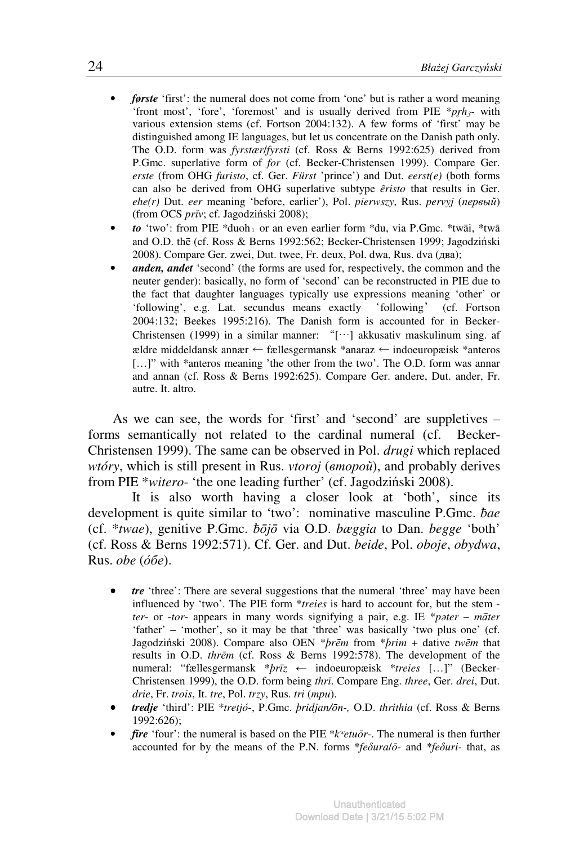- *første* 'first': the numeral does not come from 'one' but is rather a word meaning 'front most', 'fore', 'foremost' and is usually derived from PIE \* $pgh_3$ - with various extension stems (cf. Fortson 2004:132). A few forms of 'first' may be distinguished among IE languages, but let us concentrate on the Danish path only. The O.D. form was *fyrstær*/*fyrsti* (cf. Ross & Berns 1992:625) derived from P.Gmc. superlative form of *for* (cf. Becker-Christensen 1999). Compare Ger. *erste* (from OHG *furisto*, cf. Ger. *Fürst* 'prince') and Dut. *eerst(e)* (both forms can also be derived from OHG superlative subtype *êristo* that results in Ger. *ehe(r)* Dut. *eer* meaning 'before, earlier'), Pol. *pierwszy*, Rus. *pervyj* (первый) (from OCS *pr*ĭ*v*; cf. Jagodziński 2008);
- *to* 'two': from PIE \*duoh₁ or an even earlier form \*du, via P.Gmc. \*twāi, \*twā and O.D. thē (cf. Ross & Berns 1992:562; Becker-Christensen 1999; Jagodziński 2008). Compare Ger. zwei, Dut. twee, Fr. deux, Pol. dwa, Rus. dva (два);
- *anden, andet* 'second' (the forms are used for, respectively, the common and the neuter gender): basically, no form of 'second' can be reconstructed in PIE due to the fact that daughter languages typically use expressions meaning 'other' or 'following', e.g. Lat. secundus means exactly 'following' (cf. Fortson 2004:132; Beekes 1995:216). The Danish form is accounted for in Becker-Christensen (1999) in a similar manner: "[…] akkusativ maskulinum sing. af ældre middeldansk annær ← fællesgermansk \*anaraz ← indoeuropæisk \*anteros [...]" with \*anteros meaning 'the other from the two'. The O.D. form was annar and annan (cf. Ross & Berns 1992:625). Compare Ger. andere, Dut. ander, Fr. autre. It. altro.

As we can see, the words for 'first' and 'second' are suppletives – forms semantically not related to the cardinal numeral (cf. Becker-Christensen 1999). The same can be observed in Pol. *drugi* which replaced *wtóry*, which is still present in Rus. *vtoroj* (второй), and probably derives from PIE \**witero*- 'the one leading further' (cf. Jagodziński 2008).

 It is also worth having a closer look at 'both', since its development is quite similar to 'two': nominative masculine P.Gmc. bae (cf. \**twae*), genitive P.Gmc. ƀō*j*ō via O.D. *bæggia* to Dan. *begge* 'both' (cf. Ross & Berns 1992:571). Cf. Ger. and Dut. *beide*, Pol. *oboje*, *obydwa*, Rus. *obe* (*óбе*).

- *tre* 'three': There are several suggestions that the numeral 'three' may have been influenced by 'two'. The PIE form \**treies* is hard to account for, but the stem *ter*- or -*tor*- appears in many words signifying a pair, e.g. IE \**p*ə*ter* – *m*ā*ter*  'father' – 'mother', so it may be that 'three' was basically 'two plus one' (cf. Jagodziński 2008). Compare also OEN \**þr*ē*m* from \**þrim* + dative *tw*ē*m* that results in O.D. *thr*ē*m* (cf. Ross & Berns 1992:578). The development of the numeral: "fællesgermansk \**þr*ī*z* ← indoeuropæisk \**treies* […]" (Becker-Christensen 1999), the O.D. form being *thr*ī. Compare Eng. *three*, Ger. *drei*, Dut. *drie*, Fr. *trois*, It. *tre*, Pol. *trzy*, Rus. *tri* (три).
- *tredje* 'third': PIE \**tretjó*-, P.Gmc. *þridjan/*ō*n-,* O.D. *thrithia* (cf. Ross & Berns 1992:626);
- *fire* 'four': the numeral is based on the PIE \**k*ʷ*etu*ō*r*-. The numeral is then further accounted for by the means of the P.N. forms \**fe*δ*ura*/ō*-* and \**fe*δ*uri-* that, as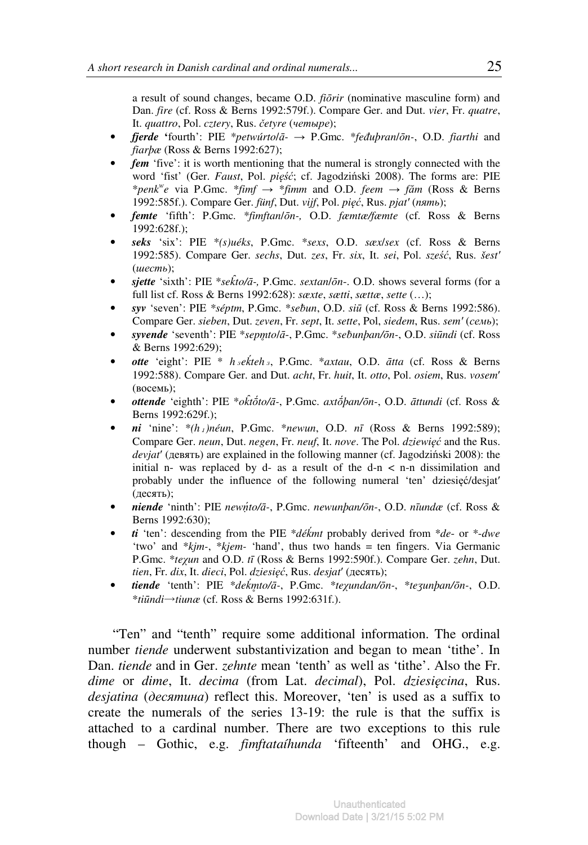a result of sound changes, became O.D. *fi*ō*rir* (nominative masculine form) and Dan. *fire* (cf. Ross & Berns 1992:579f.). Compare Ger. and Dut. *vier*, Fr. *quatre*, It. *quattro*, Pol. *cztery*, Rus. č*etyre* (четыре);

- *fjerde* **'**fourth': PIE \**petwúrto*/ā→ P.Gmc. \**fe*đ*uþran*/ō*n-*, O.D. *fiarthi* and *fiarþæ* (Ross & Berns 1992:627);
- *fem* 'five': it is worth mentioning that the numeral is strongly connected with the word 'fist' (Ger. *Faust*, Pol. *pi*ęść; cf. Jagodziński 2008). The forms are: PIE \**penk<sup>w</sup> e* via P.Gmc. \**fimf* → \**fimm* and O.D. *feem* → *f*ă*m* (Ross & Berns 1992:585f.). Compare Ger. *fünf*, Dut. *vijf*, Pol. *pi*ęć, Rus. *pjat*ʹ (пять);
- *femte* 'fifth': P.Gmc. \**fimftan*/ō*n-,* O.D. *fæmtæ/fæmte* (cf. Ross & Berns 1992:628f.);
- *seks* 'six': PIE \**(s)uéks*, P.Gmc. \**sexs*, O.D. *sæx*/*sex* (cf. Ross & Berns 1992:585). Compare Ger. *sechs*, Dut. *zes*, Fr. *six*, It. *sei*, Pol. *sze*ść, Rus. *šest*ʹ (шесть);
- *sjette* 'sixth': PIE \**sek*̑ *to/*ā*-,* P.Gmc. *sextan*/ō*n*-. O.D. shows several forms (for a full list cf. Ross & Berns 1992:628): *sæxte*, *sætti*, *sættæ*, *sette* (…);
- *syv* 'seven': PIE *\*séptm*, P.Gmc. \**se*ƀ*un*, O.D. *si*ū (cf. Ross & Berns 1992:586). Compare Ger. *sieben*, Dut. *zeven*, Fr. *sept*, It. *sette*, Pol, *siedem*, Rus. *sem*ʹ (семь);
- *syvende* 'seventh': PIE \**sepm*̥ *to*/ā-, P.Gmc. \**se*ƀ*unþan/*ō*n-*, O.D. *si*ū*ndi* (cf. Ross & Berns 1992:629);
- *otte* 'eight': PIE \* *h*₃*e*ḱ*teh*₃, P.Gmc. \**axtau*, O.D. ā*tta* (cf. Ross & Berns 1992:588). Compare Ger. and Dut. *acht*, Fr. *huit*, It. *otto*, Pol. *osiem*, Rus. *vosem*ʹ (восемь);
- *ottende* 'eighth': PIE \**ok*̑ *t*ṓ*to/*ā*-*, P.Gmc. *axt*ṓ*þan/*ō*n-*, O.D. ā*ttundi* (cf. Ross & Berns 1992:629f.);
- *ni* 'nine': \**(h*₁*)néun*, P.Gmc. \**newun*, O.D. *n*ī (Ross & Berns 1992:589); Compare Ger. *neun*, Dut. *negen*, Fr. *neuf*, It. *nove*. The Pol. *dziewi*ęć and the Rus. *devjat*ʹ (девять) are explained in the following manner (cf. Jagodziński 2008): the initial n- was replaced by d- as a result of the  $d-n < n-n$  dissimilation and probably under the influence of the following numeral 'ten' dziesięć/desjatʹ (десять);
- *niende* 'ninth': PIE *new*ṇ́ *to/*ā*-*, P.Gmc. *newunþan/*ō*n-*, O.D. *n*ī*undæ* (cf. Ross & Berns 1992:630);
- *ti* 'ten': descending from the PIE \**dé*ḱ*mt* probably derived from \**de* or \*-*dwe* 'two' and \**kjm-*, \**kjem-* 'hand', thus two hands = ten fingers. Via Germanic P.Gmc. \**te*χ*un* and O.D. *t*ī (Ross & Berns 1992:590f.). Compare Ger. *zehn*, Dut. *tien*, Fr. *dix*, It. *dieci*, Pol. *dziesi*ęć, Rus. *desjat*ʹ (десять);
- *tiende* 'tenth': PIE \**de*ḱ*m*̥ *to/*ā*-*, P.Gmc. \**te*χ*undan/*ō*n-*, \**te*ʒ*unþan/*ō*n-*, O.D. \**ti*ū*ndi*→*tiunæ* (cf. Ross & Berns 1992:631f.).

"Ten" and "tenth" require some additional information. The ordinal number *tiende* underwent substantivization and began to mean 'tithe'. In Dan. *tiende* and in Ger. *zehnte* mean 'tenth' as well as 'tithe'. Also the Fr. *dime* or *dime*, It. *decima* (from Lat. *decimal*), Pol. *dziesi*ę*cina*, Rus. *desjatina* (десятина) reflect this. Moreover, 'ten' is used as a suffix to create the numerals of the series 13-19: the rule is that the suffix is attached to a cardinal number. There are two exceptions to this rule though – Gothic, e.g. *fimftataíhunda* 'fifteenth' and OHG., e.g.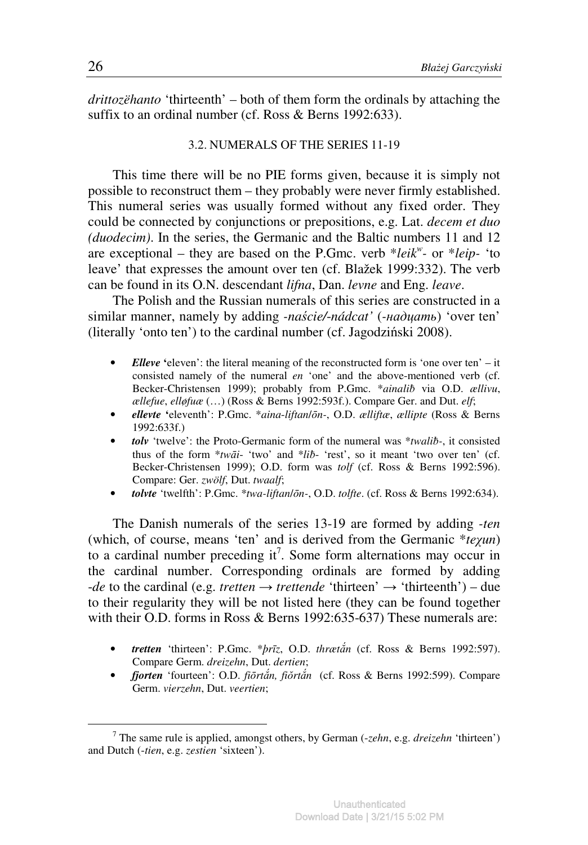*drittozëhanto* 'thirteenth' – both of them form the ordinals by attaching the suffix to an ordinal number (cf. Ross & Berns 1992:633).

# 3.2. NUMERALS OF THE SERIES 11-19

This time there will be no PIE forms given, because it is simply not possible to reconstruct them – they probably were never firmly established. This numeral series was usually formed without any fixed order. They could be connected by conjunctions or prepositions, e.g. Lat. *decem et duo (duodecim)*. In the series, the Germanic and the Baltic numbers 11 and 12 are exceptional – they are based on the P.Gmc. verb \**leik<sup>w</sup> -* or \**leip-* 'to leave' that expresses the amount over ten (cf. Blažek 1999:332). The verb can be found in its O.N. descendant *lifna*, Dan. *levne* and Eng. *leave*.

The Polish and the Russian numerals of this series are constructed in a similar manner, namely by adding *-na*ś*cie/*-*nádcat'* (*-*надцать) 'over ten' (literally 'onto ten') to the cardinal number (cf. Jagodziński 2008).

- *Elleve* 'eleven': the literal meaning of the reconstructed form is 'one over ten' it consisted namely of the numeral *en* 'one' and the above-mentioned verb (cf. Becker-Christensen 1999); probably from P.Gmc. \**ainalib* via O.D. *ællivu*, *ællefue*, *elløfuæ* (…) (Ross & Berns 1992:593f.). Compare Ger. and Dut. *elf*;
- *ellevte* **'**eleventh': P.Gmc. \**aina*-*liftan*/ō*n-*, O.D. *ælliftæ*, *ællipte* (Ross & Berns 1992:633f.)
- *tolv* 'twelve': the Proto-Germanic form of the numeral was \**twali*ƀ*-*, it consisted thus of the form  $*tw\bar{a}i$ - 'two' and  $*li\bar{b}$ - 'rest', so it meant 'two over ten' (cf. Becker-Christensen 1999); O.D. form was *tolf* (cf. Ross & Berns 1992:596). Compare: Ger. *zwölf*, Dut. *twaalf*;
- *tolvte* 'twelfth': P.Gmc. \**twa-liftan*/ō*n-*, O.D. *tolfte*. (cf. Ross & Berns 1992:634).

The Danish numerals of the series 13-19 are formed by adding *-ten* (which, of course, means 'ten' and is derived from the Germanic \**te*χ*un*) to a cardinal number preceding it<sup>7</sup>. Some form alternations may occur in the cardinal number. Corresponding ordinals are formed by adding  $-de$  to the cardinal (e.g. *tretten*  $\rightarrow$  *trettende* 'thirteen'  $\rightarrow$  'thirteenth') – due to their regularity they will be not listed here (they can be found together with their O.D. forms in Ross & Berns 1992:635-637) These numerals are:

- *tretten* 'thirteen': P.Gmc. \**þr*ī*z*, O.D. *thræt*ắ*n* (cf. Ross & Berns 1992:597). Compare Germ. *dreizehn*, Dut. *dertien*;
- *fjorten* 'fourteen': O.D. *fi*ō*rt*ắ*n, fi*ŏ*rt*ắ*n* (cf. Ross & Berns 1992:599). Compare Germ. *vierzehn*, Dut. *veertien*;

<sup>7</sup> The same rule is applied, amongst others, by German (-*zehn*, e.g. *dreizehn* 'thirteen') and Dutch (-*tien*, e.g. *zestien* 'sixteen').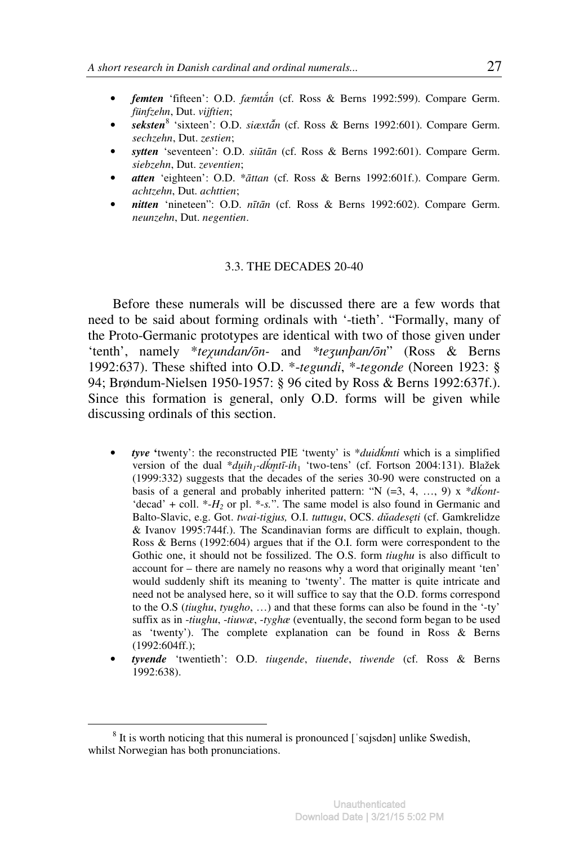- *femten* 'fifteen': O.D. *fæmt*ắ*n* (cf. Ross & Berns 1992:599). Compare Germ. *fünfzehn*, Dut. *vijftien*;
- *seksten*<sup>8</sup> 'sixteen': O.D. *siæxtan* (cf. Ross & Berns 1992:601). Compare Germ. *sechzehn*, Dut. *zestien*;
- *sytten* 'seventeen': O.D. *si*ū*t*ā*n* (cf. Ross & Berns 1992:601). Compare Germ. *siebzehn*, Dut. *zeventien*;
- *atten* 'eighteen': O.D. \*ā*ttan* (cf. Ross & Berns 1992:601f.). Compare Germ. *achtzehn*, Dut. *achttien*;
- *nitten* 'nineteen": O.D. *n*ī*t*ā*n* (cf. Ross & Berns 1992:602). Compare Germ. *neunzehn*, Dut. *negentien*.

#### 3.3. THE DECADES 20-40

Before these numerals will be discussed there are a few words that need to be said about forming ordinals with '-tieth'. "Formally, many of the Proto-Germanic prototypes are identical with two of those given under 'tenth', namely \**te*χ*undan/*ō*n-* and *\*te*ʒ*unþan/*ō*n*" (Ross & Berns 1992:637). These shifted into O.D. \*-*tegundi*, \*-*tegonde* (Noreen 1923: § 94; Brøndum-Nielsen 1950-1957: § 96 cited by Ross & Berns 1992:637f.). Since this formation is general, only O.D. forms will be given while discussing ordinals of this section.

- *tyve* **'**twenty': the reconstructed PIE 'twenty' is \**duid*ḱ*mti* which is a simplified version of the dual \**du*̯*ih<sup>1</sup> -d*ḱ*m*̥ *t*ī*-ih*<sup>1</sup> 'two-tens' (cf. Fortson 2004:131). Blažek (1999:332) suggests that the decades of the series 30-90 were constructed on a basis of a general and probably inherited pattern: "N  $(=3, 4, ..., 9)$  x  $*d\text{k}$ *ont*-'decad' + coll.  $*$ - $H_2$  or pl.  $*$ -s.". The same model is also found in Germanic and Balto-Slavic, e.g. Got. *twai-tigjus,* O.I. *tuttugu*, OCS. *d*ŭ*ades*ę*ti* (cf. Gamkrelidze & Ivanov 1995:744f.). The Scandinavian forms are difficult to explain, though. Ross & Berns (1992:604) argues that if the O.I. form were correspondent to the Gothic one, it should not be fossilized. The O.S. form *tiughu* is also difficult to account for – there are namely no reasons why a word that originally meant 'ten' would suddenly shift its meaning to 'twenty'. The matter is quite intricate and need not be analysed here, so it will suffice to say that the O.D. forms correspond to the O.S (*tiughu*, *tyugho*, …) and that these forms can also be found in the '-ty' suffix as in -*tiughu*, -*tiuwæ*, -*tyghæ* (eventually, the second form began to be used as 'twenty'). The complete explanation can be found in Ross & Berns (1992:604ff.);
- *tyvende* 'twentieth': O.D. *tiugende*, *tiuende*, *tiwende* (cf. Ross & Berns 1992:638).

 $8$  It is worth noticing that this numeral is pronounced ['sajsdan] unlike Swedish, whilst Norwegian has both pronunciations.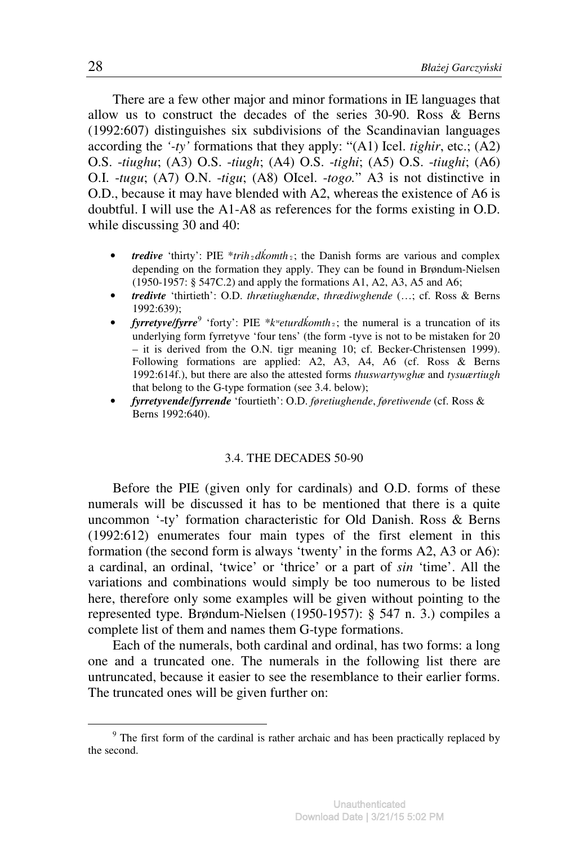There are a few other major and minor formations in IE languages that allow us to construct the decades of the series 30-90. Ross & Berns (1992:607) distinguishes six subdivisions of the Scandinavian languages according the *'-ty'* formations that they apply: "(A1) Icel. *tighir*, etc.; (A2) O.S. -*tiughu*; (A3) O.S. -*tiugh*; (A4) O.S. -*tighi*; (A5) O.S. -*tiughi*; (A6) O.I. -*tugu*; (A7) O.N. -*tigu*; (A8) OIcel. -*togo.*" A3 is not distinctive in O.D., because it may have blended with A2, whereas the existence of A6 is doubtful. I will use the A1-A8 as references for the forms existing in O.D. while discussing 30 and 40:

- *tredive* 'thirty': PIE \**trih*  $\frac{d\hat{k}}{\partial t}$ ; the Danish forms are various and complex depending on the formation they apply. They can be found in Brøndum-Nielsen (1950-1957: § 547C.2) and apply the formations A1, A2, A3, A5 and A6;
- *tredivte* 'thirtieth': O.D. *thrætiughændæ*, *thrædiwghende* (…; cf. Ross & Berns 1992:639);
- *fyrretyve/fyrre*<sup>9</sup> 'forty': PIE \**k<sup>w</sup>eturdkomth*<sub>2</sub>; the numeral is a truncation of its underlying form fyrretyve 'four tens' (the form -tyve is not to be mistaken for 20 – it is derived from the O.N. tigr meaning 10; cf. Becker-Christensen 1999). Following formations are applied: A2, A3, A4, A6 (cf. Ross & Berns 1992:614f.), but there are also the attested forms *thuswartywghæ* and *tysuærtiugh* that belong to the G-type formation (see 3.4. below);
- *fyrretyvende*/*fyrrende* 'fourtieth': O.D. *føretiughende*, *føretiwende* (cf. Ross & Berns 1992:640).

### 3.4. THE DECADES 50-90

Before the PIE (given only for cardinals) and O.D. forms of these numerals will be discussed it has to be mentioned that there is a quite uncommon '-ty' formation characteristic for Old Danish. Ross & Berns (1992:612) enumerates four main types of the first element in this formation (the second form is always 'twenty' in the forms A2, A3 or A6): a cardinal, an ordinal, 'twice' or 'thrice' or a part of *sin* 'time'. All the variations and combinations would simply be too numerous to be listed here, therefore only some examples will be given without pointing to the represented type. Brøndum-Nielsen (1950-1957): § 547 n. 3.) compiles a complete list of them and names them G-type formations.

Each of the numerals, both cardinal and ordinal, has two forms: a long one and a truncated one. The numerals in the following list there are untruncated, because it easier to see the resemblance to their earlier forms. The truncated ones will be given further on:

 $9<sup>9</sup>$  The first form of the cardinal is rather archaic and has been practically replaced by the second.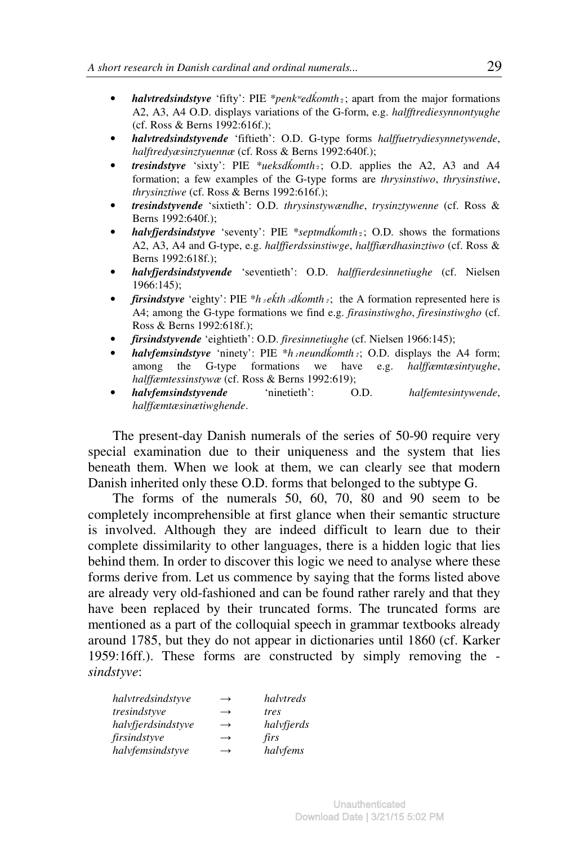- *halvtredsindstyve* 'fifty': PIE \**penk*<sup>*wedkomth*<sub>2</sub>; apart from the major formations</sup> A2, A3, A4 O.D. displays variations of the G-form, e.g. *halfftrediesynnontyughe* (cf. Ross & Berns 1992:616f.);
- *halvtredsindstyvende* 'fiftieth': O.D. G-type forms *halffuetrydiesynnetywende*, *halftredyæsinztyuennæ* (cf. Ross & Berns 1992:640f.);
- *tresindstyve* 'sixty': PIE \**ueksd*ḱ*omth*₂; O.D. applies the A2, A3 and A4 formation; a few examples of the G-type forms are *thrysinstiwo*, *thrysinstiwe*, *thrysinztiwe* (cf. Ross & Berns 1992:616f.);
- *tresindstyvende* 'sixtieth': O.D. *thrysinstywændhe*, *trysinztywenne* (cf. Ross & Berns 1992:640f.);
- *halvfjerdsindstyve* 'seventy': PIE \**septmd*ḱ*omth*₂; O.D. shows the formations A2, A3, A4 and G-type, e.g. *halffierdssinstiwge*, *halffiærdhasinztiwo* (cf. Ross & Berns 1992:618f.);
- *halvfjerdsindstyvende* 'seventieth': O.D. *halffierdesinnetiughe* (cf. Nielsen 1966:145);
- *firsindstyve* 'eighty': PIE \**h*  $\frac{1}{2}$ *kh*  $\frac{1}{2}$ *komth*<sub>2</sub>; the A formation represented here is A4; among the G-type formations we find e.g. *firasinstiwgho*, *firesinstiwgho* (cf. Ross & Berns 1992:618f.);
- *firsindstyvende* 'eightieth': O.D. *firesinnetiughe* (cf. Nielsen 1966:145);
- *halvfemsindstyve* 'ninety': PIE \**h*<sub>*i*</sub> neund*komth*<sub>2</sub>; O.D. displays the A4 form; among the G-type formations we have e.g. *halffæmtæsintyughe*, *halffæmtessinstywæ* (cf. Ross & Berns 1992:619);
- *halvfemsindstyvende* 'ninetieth': O.D. *halfemtesintywende*, *halffæmtæsinætiwghende*.

The present-day Danish numerals of the series of 50-90 require very special examination due to their uniqueness and the system that lies beneath them. When we look at them, we can clearly see that modern Danish inherited only these O.D. forms that belonged to the subtype G.

The forms of the numerals 50, 60, 70, 80 and 90 seem to be completely incomprehensible at first glance when their semantic structure is involved. Although they are indeed difficult to learn due to their complete dissimilarity to other languages, there is a hidden logic that lies behind them. In order to discover this logic we need to analyse where these forms derive from. Let us commence by saying that the forms listed above are already very old-fashioned and can be found rather rarely and that they have been replaced by their truncated forms. The truncated forms are mentioned as a part of the colloquial speech in grammar textbooks already around 1785, but they do not appear in dictionaries until 1860 (cf. Karker 1959:16ff.). These forms are constructed by simply removing the *sindstyve*:

| halvtredsindstyve  | $\rightarrow$ | halvtreds  |
|--------------------|---------------|------------|
| tresindstyve       | $\rightarrow$ | tres       |
| halvfierdsindstyve | $\rightarrow$ | halvfierds |
| firsindstyve       | $\rightarrow$ | firs       |
| halvfemsindstyve   | $\rightarrow$ | halvfems   |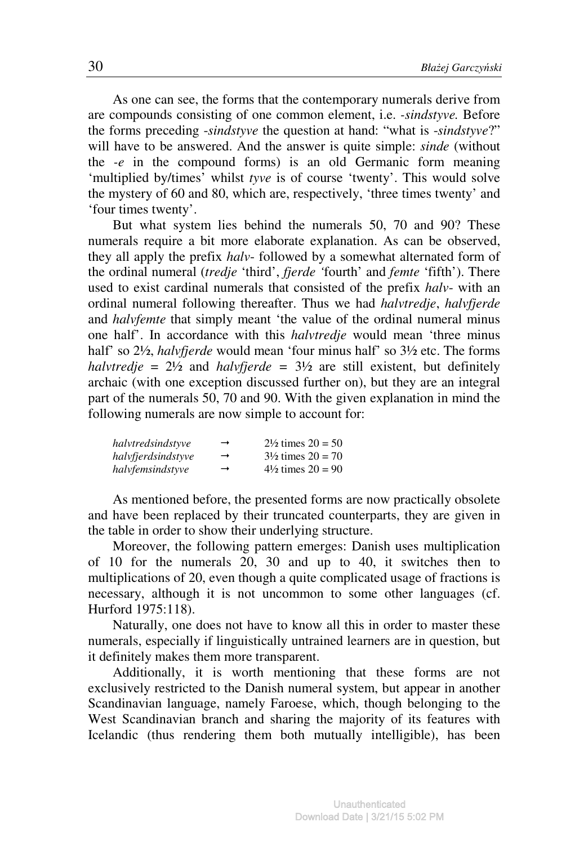As one can see, the forms that the contemporary numerals derive from are compounds consisting of one common element, i.e. *-sindstyve.* Before the forms preceding -*sindstyve* the question at hand: "what is -*sindstyve*?" will have to be answered. And the answer is quite simple: *sinde* (without the *-e* in the compound forms) is an old Germanic form meaning 'multiplied by/times' whilst *tyve* is of course 'twenty'. This would solve the mystery of 60 and 80, which are, respectively, 'three times twenty' and 'four times twenty'.

But what system lies behind the numerals 50, 70 and 90? These numerals require a bit more elaborate explanation. As can be observed, they all apply the prefix *halv*- followed by a somewhat alternated form of the ordinal numeral (*tredje* 'third', *fjerde '*fourth' and *femte* 'fifth'). There used to exist cardinal numerals that consisted of the prefix *halv*- with an ordinal numeral following thereafter. Thus we had *halvtredje*, *halvfjerde* and *halvfemte* that simply meant 'the value of the ordinal numeral minus one half'. In accordance with this *halvtredje* would mean 'three minus half' so 2½, *halvfjerde* would mean 'four minus half' so 3½ etc. The forms *halvtredje* =  $2\frac{1}{2}$  and *halvfjerde* =  $3\frac{1}{2}$  are still existent, but definitely archaic (with one exception discussed further on), but they are an integral part of the numerals 50, 70 and 90. With the given explanation in mind the following numerals are now simple to account for:

| halvtredsindstvve  | $\rightarrow$ | $2\frac{1}{2}$ times $20 = 50$ |
|--------------------|---------------|--------------------------------|
| halvfierdsindstyve | $\rightarrow$ | $3\frac{1}{2}$ times $20 = 70$ |
| halvfemsindstyve   | $\rightarrow$ | $4\frac{1}{2}$ times $20 = 90$ |

As mentioned before, the presented forms are now practically obsolete and have been replaced by their truncated counterparts, they are given in the table in order to show their underlying structure.

Moreover, the following pattern emerges: Danish uses multiplication of 10 for the numerals 20, 30 and up to 40, it switches then to multiplications of 20, even though a quite complicated usage of fractions is necessary, although it is not uncommon to some other languages (cf. Hurford 1975:118).

Naturally, one does not have to know all this in order to master these numerals, especially if linguistically untrained learners are in question, but it definitely makes them more transparent.

Additionally, it is worth mentioning that these forms are not exclusively restricted to the Danish numeral system, but appear in another Scandinavian language, namely Faroese, which, though belonging to the West Scandinavian branch and sharing the majority of its features with Icelandic (thus rendering them both mutually intelligible), has been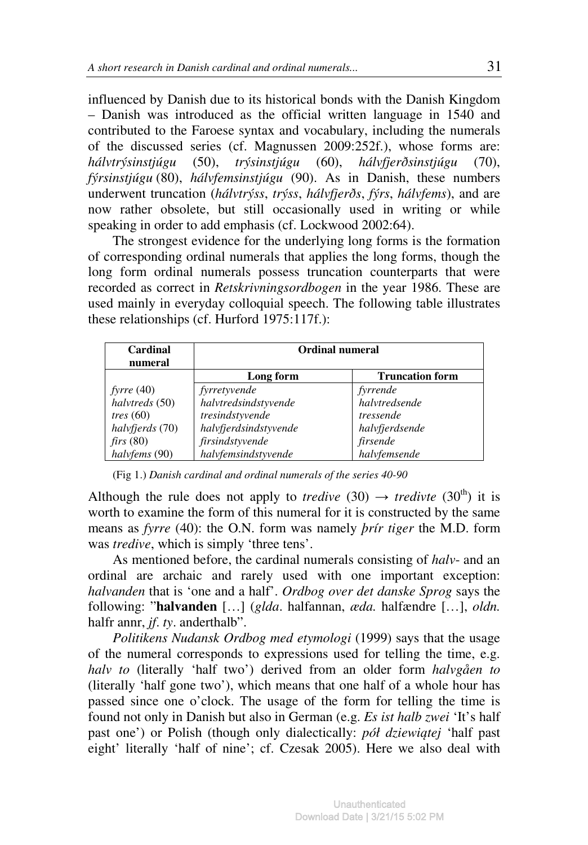influenced by Danish due to its historical bonds with the Danish Kingdom – Danish was introduced as the official written language in 1540 and contributed to the Faroese syntax and vocabulary, including the numerals of the discussed series (cf. Magnussen 2009:252f.), whose forms are: *hálvtrýsinstjúgu* (50), *trýsinstjúgu* (60), *hálvfjerðsinstjúgu* (70), *fýrsinstjúgu* (80), *hálvfemsinstjúgu* (90). As in Danish, these numbers underwent truncation (*hálvtrýss*, *trýss*, *hálvfjerðs*, *fýrs*, *hálvfems*), and are now rather obsolete, but still occasionally used in writing or while speaking in order to add emphasis (cf. Lockwood 2002:64).

The strongest evidence for the underlying long forms is the formation of corresponding ordinal numerals that applies the long forms, though the long form ordinal numerals possess truncation counterparts that were recorded as correct in *Retskrivningsordbogen* in the year 1986. These are used mainly in everyday colloquial speech. The following table illustrates these relationships (cf. Hurford 1975:117f.):

| Cardinal<br>numeral | Ordinal numeral       |                        |
|---------------------|-----------------------|------------------------|
|                     | Long form             | <b>Truncation form</b> |
| fyrre $(40)$        | fyrretyvende          | fyrrende               |
| halvtreds (50)      | halvtredsindstyvende  | halvtredsende          |
| tres $(60)$         | tresindstyvende       | tressende              |
| halvfjerds (70)     | halvfjerdsindstyvende | halvfjerdsende         |
| firs(80)            | firsindstyvende       | firsende               |
| halvfems (90)       | halvfemsindstyvende   | halvfemsende           |

(Fig 1.) *Danish cardinal and ordinal numerals of the series 40-90* 

Although the rule does not apply to *tredive* (30)  $\rightarrow$  *tredivte* (30<sup>th</sup>) it is worth to examine the form of this numeral for it is constructed by the same means as *fyrre* (40): the O.N. form was namely *þrír tiger* the M.D. form was *tredive*, which is simply 'three tens'.

As mentioned before, the cardinal numerals consisting of *halv*- and an ordinal are archaic and rarely used with one important exception: *halvanden* that is 'one and a half'. *Ordbog over det danske Sprog* says the following: "**halvanden** […] (*glda*. halfannan, *æda.* halfændre […], *oldn.* halfr annr, *jf*. *ty*. anderthalb".

*Politikens Nudansk Ordbog med etymologi* (1999) says that the usage of the numeral corresponds to expressions used for telling the time, e.g. *halv to* (literally 'half two') derived from an older form *halvgåen to* (literally 'half gone two'), which means that one half of a whole hour has passed since one o'clock. The usage of the form for telling the time is found not only in Danish but also in German (e.g. *Es ist halb zwei* 'It's half past one') or Polish (though only dialectically: *pół dziewi*ą*tej* 'half past eight' literally 'half of nine'; cf. Czesak 2005). Here we also deal with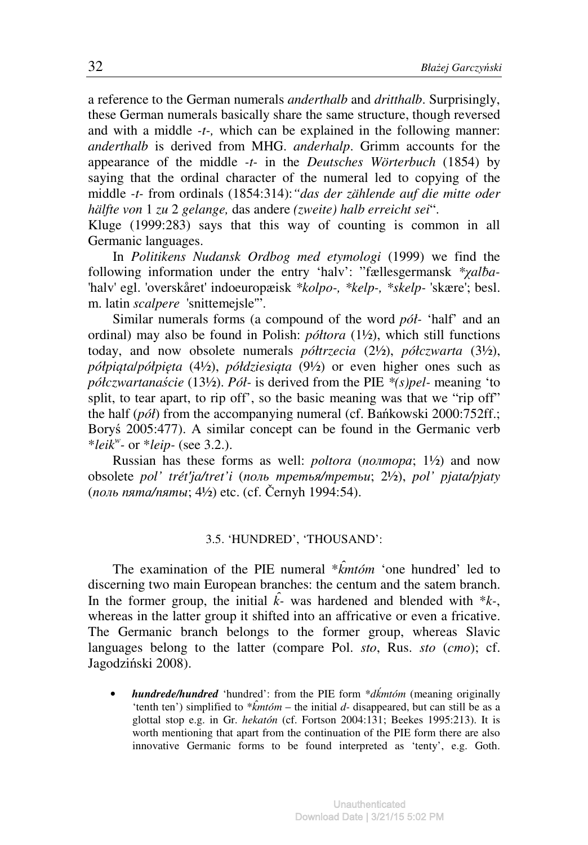a reference to the German numerals *anderthalb* and *dritthalb*. Surprisingly, these German numerals basically share the same structure, though reversed and with a middle *-t-,* which can be explained in the following manner: *anderthalb* is derived from MHG. *anderhalp*. Grimm accounts for the appearance of the middle *-t-* in the *Deutsches Wörterbuch* (1854) by saying that the ordinal character of the numeral led to copying of the middle *-t-* from ordinals (1854:314):*"das der zählende auf die mitte oder hälfte von* 1 *zu* 2 *gelange,* das andere *(zweite) halb erreicht sei*".

Kluge (1999:283) says that this way of counting is common in all Germanic languages.

In *Politikens Nudansk Ordbog med etymologi* (1999) we find the following information under the entry 'halv': "fællesgermansk *\*xalba*-'halv' egl. 'overskåret' indoeuropæisk *\*kolpo-, \*kelp-, \*skelp-* 'skære'; besl. m. latin *scalpere* 'snittemejsle'".

Similar numerals forms (a compound of the word *pół-* 'half' and an ordinal) may also be found in Polish: *półtora* (1½), which still functions today, and now obsolete numerals *półtrzecia* (2½), *półczwarta* (3½), *półpi*ą*ta*/*półpi*ę*ta* (4½), *półdziesi*ą*ta* (9½) or even higher ones such as *półczwartana*ś*cie* (13½). *Pół-* is derived from the PIE *\*(s)pel-* meaning 'to split, to tear apart, to rip off', so the basic meaning was that we "rip off" the half (*pół*) from the accompanying numeral (cf. Bańkowski 2000:752ff.; Boryś 2005:477). A similar concept can be found in the Germanic verb \**leik<sup>w</sup> -* or \**leip-* (see 3.2.).

Russian has these forms as well: *poltora* (полтора; 1½) and now obsolete *pol' trét*ʹ*ja/tret'i* (поль третья*/*третьи; 2½), *pol' pjata/pjaty*  (поль пята*/*пяты; 4½) etc. (cf. Černyh 1994:54).

### 3.5. 'HUNDRED', 'THOUSAND':

The examination of the PIE numeral \**k*̑*mtóm* 'one hundred' led to discerning two main European branches: the centum and the satem branch. In the former group, the initial  $\hat{k}$ <sup>*-*</sup> was hardened and blended with  $*k$ <sup>*-*</sup>, whereas in the latter group it shifted into an affricative or even a fricative. The Germanic branch belongs to the former group, whereas Slavic languages belong to the latter (compare Pol. *sto*, Rus. *sto* (сто); cf. Jagodziński 2008).

• *hundrede/hundred* 'hundred': from the PIE form \**d*ḱ*mtóm* (meaning originally 'tenth ten') simplified to  $*\hat{k}$ *mtóm* – the initial *d*- disappeared, but can still be as a glottal stop e.g. in Gr. *hekatón* (cf. Fortson 2004:131; Beekes 1995:213). It is worth mentioning that apart from the continuation of the PIE form there are also innovative Germanic forms to be found interpreted as 'tenty', e.g. Goth.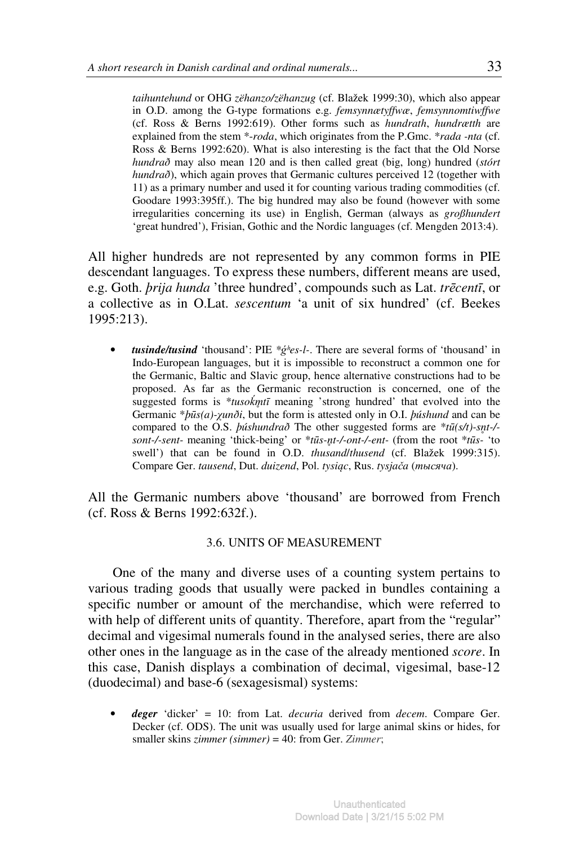*taihuntehund* or OHG *zëhanzo/zëhanzug* (cf. Blažek 1999:30), which also appear in O.D. among the G-type formations e.g. *femsynnætyffwæ*, *femsynnomtiwffwe*  (cf. Ross & Berns 1992:619). Other forms such as *hundrath*, *hundrætth* are explained from the stem \*-*roda*, which originates from the P.Gmc. \**rada -nta* (cf. Ross & Berns 1992:620). What is also interesting is the fact that the Old Norse *hundrað* may also mean 120 and is then called great (big, long) hundred (*stórt hundrað*), which again proves that Germanic cultures perceived 12 (together with 11) as a primary number and used it for counting various trading commodities (cf. Goodare 1993:395ff.). The big hundred may also be found (however with some irregularities concerning its use) in English, German (always as *großhundert* 'great hundred'), Frisian, Gothic and the Nordic languages (cf. Mengden 2013:4).

All higher hundreds are not represented by any common forms in PIE descendant languages. To express these numbers, different means are used, e.g. Goth. *þrija hunda* 'three hundred', compounds such as Lat. *tr*ē*cent*ī, or a collective as in O.Lat. *sescentum* 'a unit of six hundred' (cf. Beekes 1995:213).

• *tusinde/tusind* 'thousand': PIE *\**ǵʰ*es-l-*. There are several forms of 'thousand' in Indo-European languages, but it is impossible to reconstruct a common one for the Germanic, Baltic and Slavic group, hence alternative constructions had to be proposed. As far as the Germanic reconstruction is concerned, one of the suggested forms is \**tusokmtī* meaning 'strong hundred' that evolved into the Germanic \**þ*ū*s(a)-*χ*unði*, but the form is attested only in O.I. *þúshund* and can be compared to the O.S. *þúshundrað* The other suggested forms are \**t*ū*(s/t)-sn*̥*t-/ sont-/-sent-* meaning 'thick-being' or \**t*ū*s-n*̥*t-/-ont-/-ent-* (from the root \**t*ū*s-* 'to swell') that can be found in O.D. *thusand*/*thusend* (cf. Blažek 1999:315). Compare Ger. *tausend*, Dut. *duizend*, Pol. *tysi*ą*c*, Rus. *tysja*č*a* (тысяча).

All the Germanic numbers above 'thousand' are borrowed from French (cf. Ross & Berns 1992:632f.).

### 3.6. UNITS OF MEASUREMENT

One of the many and diverse uses of a counting system pertains to various trading goods that usually were packed in bundles containing a specific number or amount of the merchandise, which were referred to with help of different units of quantity. Therefore, apart from the "regular" decimal and vigesimal numerals found in the analysed series, there are also other ones in the language as in the case of the already mentioned *score*. In this case, Danish displays a combination of decimal, vigesimal, base-12 (duodecimal) and base-6 (sexagesismal) systems:

• *deger* 'dicker' = 10: from Lat. *decuria* derived from *decem*. Compare Ger. Decker (cf. ODS). The unit was usually used for large animal skins or hides, for smaller skins *zimmer (simmer)* = 40: from Ger. *Zimmer*;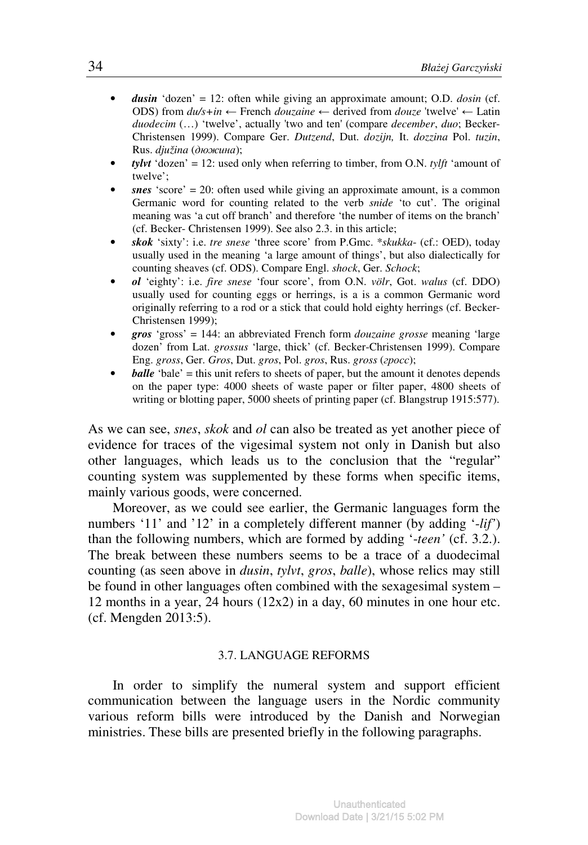- *dusin* 'dozen' = 12: often while giving an approximate amount; O.D. *dosin* (cf. ODS) from  $du/s + in \leftarrow$  French *douzaine*  $\leftarrow$  derived from *douze* 'twelve'  $\leftarrow$  Latin *duodecim* (…) 'twelve', actually 'two and ten' (compare *december*, *duo*; Becker-Christensen 1999). Compare Ger. *Dutzend*, Dut. *dozijn,* It. *dozzina* Pol. *tuzin*, Rus. *djužina* (дюжина);
- *tylyt* 'dozen' = 12: used only when referring to timber, from O.N. *tylft* 'amount of twelve';
- $snes$  'score' = 20: often used while giving an approximate amount, is a common Germanic word for counting related to the verb *snide* 'to cut'. The original meaning was 'a cut off branch' and therefore 'the number of items on the branch' (cf. Becker- Christensen 1999). See also 2.3. in this article;
- *skok* 'sixty': i.e. *tre snese* 'three score' from P.Gmc. \**skukka* (cf.: OED), today usually used in the meaning 'a large amount of things', but also dialectically for counting sheaves (cf. ODS). Compare Engl. *shock*, Ger. *Schock*;
- *ol* 'eighty': i.e. *fire snese* 'four score', from O.N. *völr*, Got. *walus* (cf. DDO) usually used for counting eggs or herrings, is a is a common Germanic word originally referring to a rod or a stick that could hold eighty herrings (cf. Becker-Christensen 1999);
- *gros* 'gross' = 144: an abbreviated French form *douzaine grosse* meaning 'large dozen' from Lat. *grossus* 'large, thick' (cf. Becker-Christensen 1999). Compare Eng. *gross*, Ger. *Gros*, Dut. *gros*, Pol. *gros*, Rus. *gross* (гросс);
- **balle** 'bale' = this unit refers to sheets of paper, but the amount it denotes depends on the paper type: 4000 sheets of waste paper or filter paper, 4800 sheets of writing or blotting paper, 5000 sheets of printing paper (cf. Blangstrup 1915:577).

As we can see, *snes*, *skok* and *ol* can also be treated as yet another piece of evidence for traces of the vigesimal system not only in Danish but also other languages, which leads us to the conclusion that the "regular" counting system was supplemented by these forms when specific items, mainly various goods, were concerned.

Moreover, as we could see earlier, the Germanic languages form the numbers '11' and '12' in a completely different manner (by adding '-*lif'*) than the following numbers, which are formed by adding '-*teen'* (cf. 3.2.). The break between these numbers seems to be a trace of a duodecimal counting (as seen above in *dusin*, *tylvt*, *gros*, *balle*), whose relics may still be found in other languages often combined with the sexagesimal system – 12 months in a year, 24 hours (12x2) in a day, 60 minutes in one hour etc. (cf. Mengden 2013:5).

### 3.7. LANGUAGE REFORMS

In order to simplify the numeral system and support efficient communication between the language users in the Nordic community various reform bills were introduced by the Danish and Norwegian ministries. These bills are presented briefly in the following paragraphs.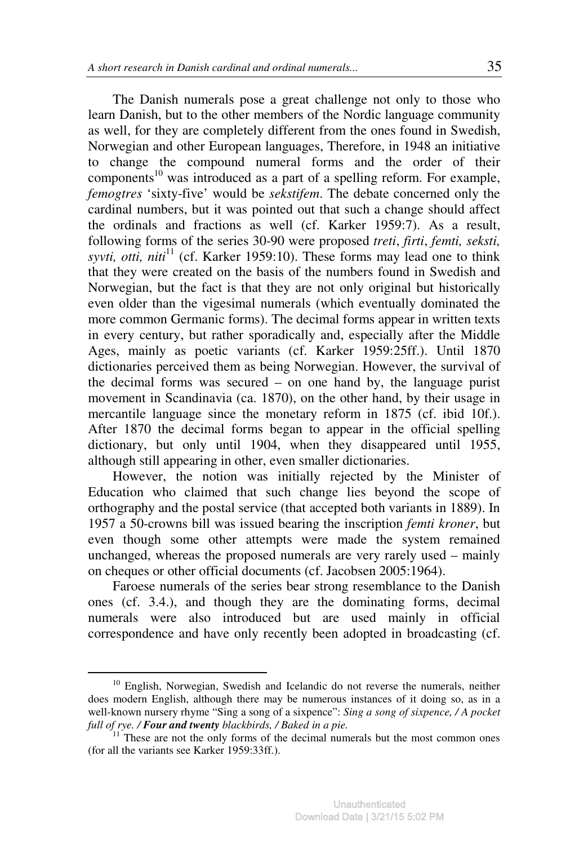The Danish numerals pose a great challenge not only to those who learn Danish, but to the other members of the Nordic language community as well, for they are completely different from the ones found in Swedish, Norwegian and other European languages, Therefore, in 1948 an initiative to change the compound numeral forms and the order of their components<sup>10</sup> was introduced as a part of a spelling reform. For example, *femogtres* 'sixty-five' would be *sekstifem*. The debate concerned only the cardinal numbers, but it was pointed out that such a change should affect the ordinals and fractions as well (cf. Karker 1959:7). As a result, following forms of the series 30-90 were proposed *treti*, *firti*, *femti, seksti, syvti, otti, niti*<sup>11</sup> (cf. Karker 1959:10). These forms may lead one to think that they were created on the basis of the numbers found in Swedish and Norwegian, but the fact is that they are not only original but historically even older than the vigesimal numerals (which eventually dominated the more common Germanic forms). The decimal forms appear in written texts in every century, but rather sporadically and, especially after the Middle Ages, mainly as poetic variants (cf. Karker 1959:25ff.). Until 1870 dictionaries perceived them as being Norwegian. However, the survival of the decimal forms was secured – on one hand by, the language purist movement in Scandinavia (ca. 1870), on the other hand, by their usage in mercantile language since the monetary reform in 1875 (cf. ibid 10f.). After 1870 the decimal forms began to appear in the official spelling dictionary, but only until 1904, when they disappeared until 1955, although still appearing in other, even smaller dictionaries.

However, the notion was initially rejected by the Minister of Education who claimed that such change lies beyond the scope of orthography and the postal service (that accepted both variants in 1889). In 1957 a 50-crowns bill was issued bearing the inscription *femti kroner*, but even though some other attempts were made the system remained unchanged, whereas the proposed numerals are very rarely used – mainly on cheques or other official documents (cf. Jacobsen 2005:1964).

Faroese numerals of the series bear strong resemblance to the Danish ones (cf. 3.4.), and though they are the dominating forms, decimal numerals were also introduced but are used mainly in official correspondence and have only recently been adopted in broadcasting (cf.

<sup>&</sup>lt;sup>10</sup> English, Norwegian, Swedish and Icelandic do not reverse the numerals, neither does modern English, although there may be numerous instances of it doing so, as in a well-known nursery rhyme "Sing a song of a sixpence": *Sing a song of sixpence, / A pocket full of rye. / Four and twenty blackbirds, / Baked in a pie.*

 $11$  These are not the only forms of the decimal numerals but the most common ones (for all the variants see Karker 1959:33ff.).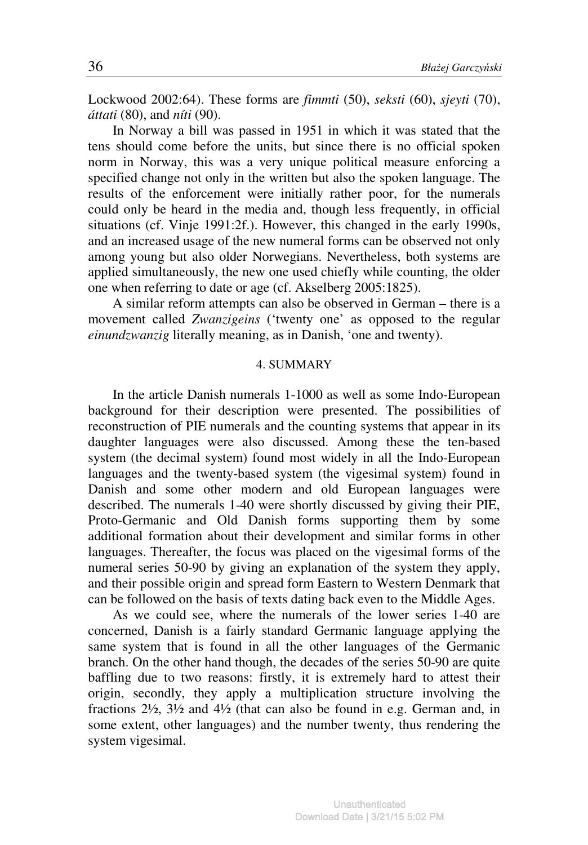Lockwood 2002:64). These forms are *fimmti* (50), *seksti* (60), *sjeyti* (70), *áttati* (80), and *níti* (90).

In Norway a bill was passed in 1951 in which it was stated that the tens should come before the units, but since there is no official spoken norm in Norway, this was a very unique political measure enforcing a specified change not only in the written but also the spoken language. The results of the enforcement were initially rather poor, for the numerals could only be heard in the media and, though less frequently, in official situations (cf. Vinje 1991:2f.). However, this changed in the early 1990s, and an increased usage of the new numeral forms can be observed not only among young but also older Norwegians. Nevertheless, both systems are applied simultaneously, the new one used chiefly while counting, the older one when referring to date or age (cf. Akselberg 2005:1825).

A similar reform attempts can also be observed in German – there is a movement called *Zwanzigeins* ('twenty one' as opposed to the regular *einundzwanzig* literally meaning, as in Danish, 'one and twenty).

### 4. SUMMARY

In the article Danish numerals 1-1000 as well as some Indo-European background for their description were presented. The possibilities of reconstruction of PIE numerals and the counting systems that appear in its daughter languages were also discussed. Among these the ten-based system (the decimal system) found most widely in all the Indo-European languages and the twenty-based system (the vigesimal system) found in Danish and some other modern and old European languages were described. The numerals 1-40 were shortly discussed by giving their PIE, Proto-Germanic and Old Danish forms supporting them by some additional formation about their development and similar forms in other languages. Thereafter, the focus was placed on the vigesimal forms of the numeral series 50-90 by giving an explanation of the system they apply, and their possible origin and spread form Eastern to Western Denmark that can be followed on the basis of texts dating back even to the Middle Ages.

As we could see, where the numerals of the lower series 1-40 are concerned, Danish is a fairly standard Germanic language applying the same system that is found in all the other languages of the Germanic branch. On the other hand though, the decades of the series 50-90 are quite baffling due to two reasons: firstly, it is extremely hard to attest their origin, secondly, they apply a multiplication structure involving the fractions 2½, 3½ and 4½ (that can also be found in e.g. German and, in some extent, other languages) and the number twenty, thus rendering the system vigesimal.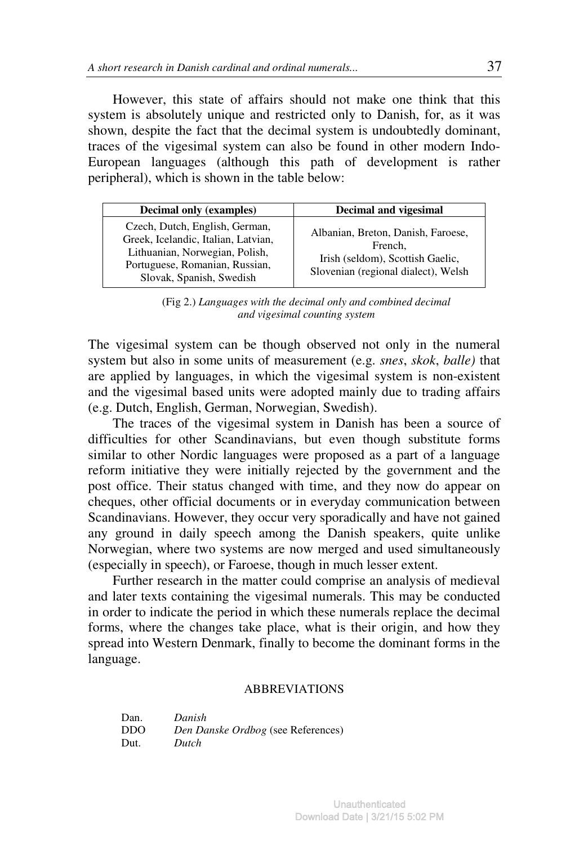However, this state of affairs should not make one think that this system is absolutely unique and restricted only to Danish, for, as it was shown, despite the fact that the decimal system is undoubtedly dominant, traces of the vigesimal system can also be found in other modern Indo-European languages (although this path of development is rather peripheral), which is shown in the table below:

| <b>Decimal only (examples)</b>                                                                                                                                        | Decimal and vigesimal                                                                                                    |
|-----------------------------------------------------------------------------------------------------------------------------------------------------------------------|--------------------------------------------------------------------------------------------------------------------------|
| Czech, Dutch, English, German,<br>Greek, Icelandic, Italian, Latvian,<br>Lithuanian, Norwegian, Polish,<br>Portuguese, Romanian, Russian,<br>Slovak, Spanish, Swedish | Albanian, Breton, Danish, Faroese,<br>French,<br>Irish (seldom), Scottish Gaelic,<br>Slovenian (regional dialect), Welsh |

(Fig 2.) *Languages with the decimal only and combined decimal and vigesimal counting system* 

The vigesimal system can be though observed not only in the numeral system but also in some units of measurement (e.g. *snes*, *skok*, *balle)* that are applied by languages, in which the vigesimal system is non-existent and the vigesimal based units were adopted mainly due to trading affairs (e.g. Dutch, English, German, Norwegian, Swedish).

The traces of the vigesimal system in Danish has been a source of difficulties for other Scandinavians, but even though substitute forms similar to other Nordic languages were proposed as a part of a language reform initiative they were initially rejected by the government and the post office. Their status changed with time, and they now do appear on cheques, other official documents or in everyday communication between Scandinavians. However, they occur very sporadically and have not gained any ground in daily speech among the Danish speakers, quite unlike Norwegian, where two systems are now merged and used simultaneously (especially in speech), or Faroese, though in much lesser extent.

Further research in the matter could comprise an analysis of medieval and later texts containing the vigesimal numerals. This may be conducted in order to indicate the period in which these numerals replace the decimal forms, where the changes take place, what is their origin, and how they spread into Western Denmark, finally to become the dominant forms in the language.

### ABBREVIATIONS

| Dan. | Danish                             |
|------|------------------------------------|
| DDO. | Den Danske Ordbog (see References) |
| Dut. | Dutch                              |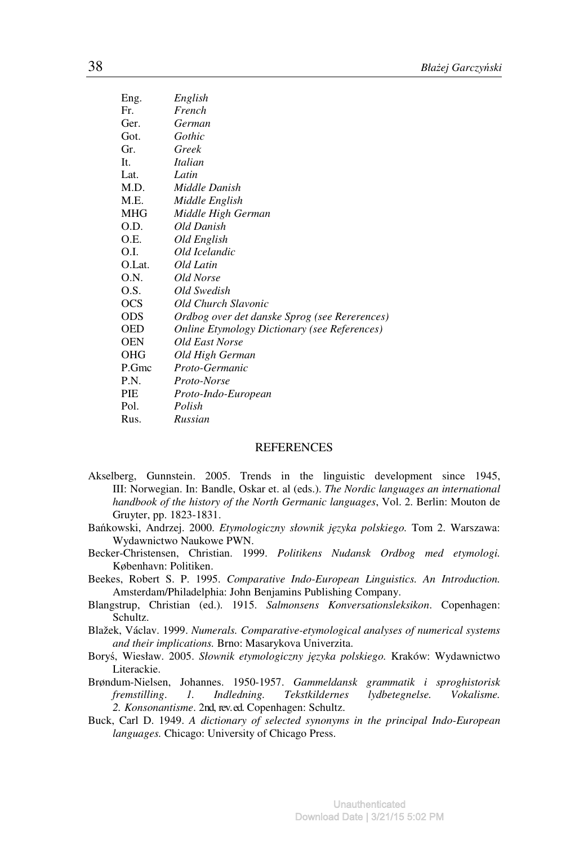| Eng.   | English                                             |
|--------|-----------------------------------------------------|
| Fr.    | French                                              |
| Ger.   | German                                              |
| Got.   | Gothic                                              |
| Gr.    | Greek                                               |
| It.    | <b>Italian</b>                                      |
| Lat.   | Latin                                               |
| M.D.   | Middle Danish                                       |
| M.E.   | Middle English                                      |
| MHG    | Middle High German                                  |
| O.D.   | Old Danish                                          |
| O.E.   | Old English                                         |
| O.I.   | Old Icelandic                                       |
| O.Lat. | Old Latin                                           |
| 0.N.   | Old Norse                                           |
| O.S.   | Old Swedish                                         |
| OCS    | Old Church Slavonic                                 |
| ODS    | Ordbog over det danske Sprog (see Rererences)       |
| OED    | <b>Online Etymology Dictionary (see References)</b> |
| OEN    | Old East Norse                                      |
| OHG    | Old High German                                     |
| P.Gmc  | Proto-Germanic                                      |
| P.N.   | Proto-Norse                                         |
| PIE    | Proto-Indo-European                                 |
| Pol.   | Polish                                              |
| Rus.   | Russian                                             |
|        |                                                     |

#### REFERENCES

- Akselberg, Gunnstein. 2005. Trends in the linguistic development since 1945, III: Norwegian. In: Bandle, Oskar et. al (eds.). *The Nordic languages an international handbook of the history of the North Germanic languages*, Vol. 2. Berlin: Mouton de Gruyter, pp. 1823-1831.
- Bańkowski, Andrzej. 2000. *Etymologiczny słownik j*ę*zyka polskiego.* Tom 2. Warszawa: Wydawnictwo Naukowe PWN.
- Becker-Christensen, Christian. 1999. *Politikens Nudansk Ordbog med etymologi.*  København: Politiken.
- Beekes, Robert S. P. 1995. *Comparative Indo-European Linguistics. An Introduction.* Amsterdam/Philadelphia: John Benjamins Publishing Company.
- Blangstrup, Christian (ed.). 1915. *Salmonsens Konversationsleksikon*. Copenhagen: Schultz.
- Blažek, Václav. 1999. *Numerals. Comparative-etymological analyses of numerical systems and their implications.* Brno: Masarykova Univerzita.
- Boryś, Wiesław. 2005. *Słownik etymologiczny j*ę*zyka polskiego.* Kraków: Wydawnictwo Literackie.
- Brøndum-Nielsen, Johannes. 1950-1957. *Gammeldansk grammatik i sproghistorisk fremstilling*. *1. Indledning. Tekstkildernes lydbetegnelse. Vokalisme. 2. Konsonantisme*. 2nd, rev. ed. Copenhagen: Schultz.
- Buck, Carl D. 1949. *A dictionary of selected synonyms in the principal Indo-European languages.* Chicago: University of Chicago Press.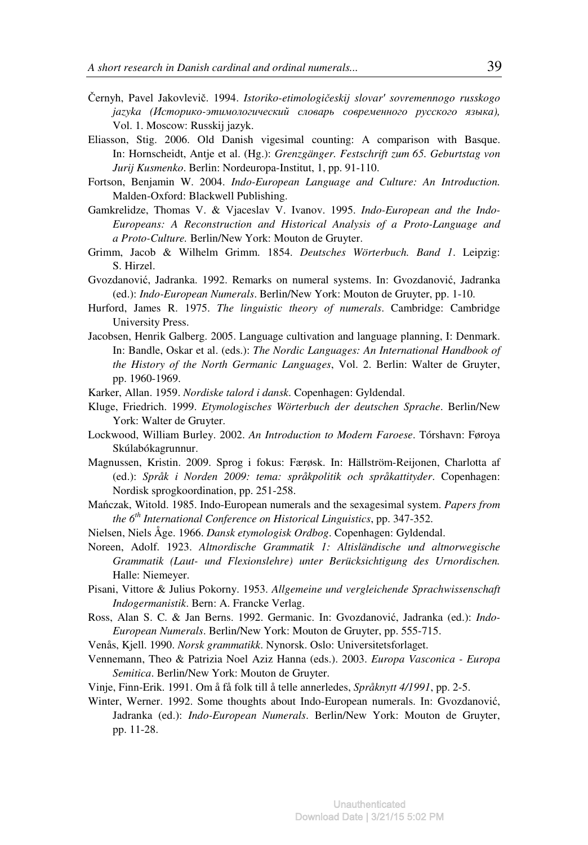- Černyh, Pavel Jakovlevič. 1994. *Istoriko-etimologi*č*eskij slovar*ʹ *sovremennogo russkogo jazyka (*Историко*-*этимологический словарь современного русского языка*),*  Vol. 1. Moscow: Russkij jazyk.
- Eliasson, Stig. 2006. Old Danish vigesimal counting: A comparison with Basque. In: Hornscheidt, Antje et al. (Hg.): *Grenzgänger. Festschrift zum 65. Geburtstag von Jurij Kusmenko*. Berlin: Nordeuropa-Institut, 1, pp. 91-110.
- Fortson, Benjamin W. 2004. *Indo-European Language and Culture: An Introduction.* Malden-Oxford: Blackwell Publishing.
- Gamkrelidze, Thomas V. & Vjaceslav V. Ivanov. 1995. *Indo-European and the Indo-Europeans: A Reconstruction and Historical Analysis of a Proto-Language and a Proto-Culture.* Berlin/New York: Mouton de Gruyter.
- Grimm, Jacob & Wilhelm Grimm. 1854. *Deutsches Wörterbuch. Band 1*. Leipzig: S. Hirzel.
- Gvozdanović, Jadranka. 1992. Remarks on numeral systems. In: Gvozdanović, Jadranka (ed.): *Indo-European Numerals*. Berlin/New York: Mouton de Gruyter, pp. 1-10.
- Hurford, James R. 1975. *The linguistic theory of numerals*. Cambridge: Cambridge University Press.
- Jacobsen, Henrik Galberg. 2005. Language cultivation and language planning, I: Denmark. In: Bandle, Oskar et al. (eds.): *The Nordic Languages: An International Handbook of the History of the North Germanic Languages*, Vol. 2. Berlin: Walter de Gruyter, pp. 1960-1969.
- Karker, Allan. 1959. *Nordiske talord i dansk*. Copenhagen: Gyldendal.
- Kluge, Friedrich. 1999. *Etymologisches Wörterbuch der deutschen Sprache*. Berlin/New York: Walter de Gruyter.
- Lockwood, William Burley. 2002. *An Introduction to Modern Faroese*. Tórshavn: Føroya Skúlabókagrunnur.
- Magnussen, Kristin. 2009. Sprog i fokus: Færøsk. In: Hällström-Reijonen, Charlotta af (ed.): *Språk i Norden 2009: tema: språkpolitik och språkattityder*. Copenhagen: Nordisk sprogkoordination, pp. 251-258.
- Mańczak, Witold. 1985. Indo-European numerals and the sexagesimal system. *Papers from the 6th International Conference on Historical Linguistics*, pp. 347-352.
- Nielsen, Niels Åge. 1966. *Dansk etymologisk Ordbog*. Copenhagen: Gyldendal.
- Noreen, Adolf. 1923. *Altnordische Grammatik 1: Altisländische und altnorwegische Grammatik (Laut- und Flexionslehre) unter Berücksichtigung des Urnordischen.*  Halle: Niemeyer.
- Pisani, Vittore & Julius Pokorny. 1953. *Allgemeine und vergleichende Sprachwissenschaft Indogermanistik*. Bern: A. Francke Verlag.
- Ross, Alan S. C. & Jan Berns. 1992. Germanic. In: Gvozdanović, Jadranka (ed.): *Indo-European Numerals*. Berlin/New York: Mouton de Gruyter, pp. 555-715.
- Venås, Kjell. 1990. *Norsk grammatikk*. Nynorsk. Oslo: Universitetsforlaget.
- Vennemann, Theo & Patrizia Noel Aziz Hanna (eds.). 2003. *Europa Vasconica Europa Semitica*. Berlin/New York: Mouton de Gruyter.
- Vinje, Finn-Erik. 1991. Om å få folk till å telle annerledes, *Språknytt 4/1991*, pp. 2-5.
- Winter, Werner. 1992. Some thoughts about Indo-European numerals. In: Gvozdanović, Jadranka (ed.): *Indo-European Numerals*. Berlin/New York: Mouton de Gruyter, pp. 11-28.